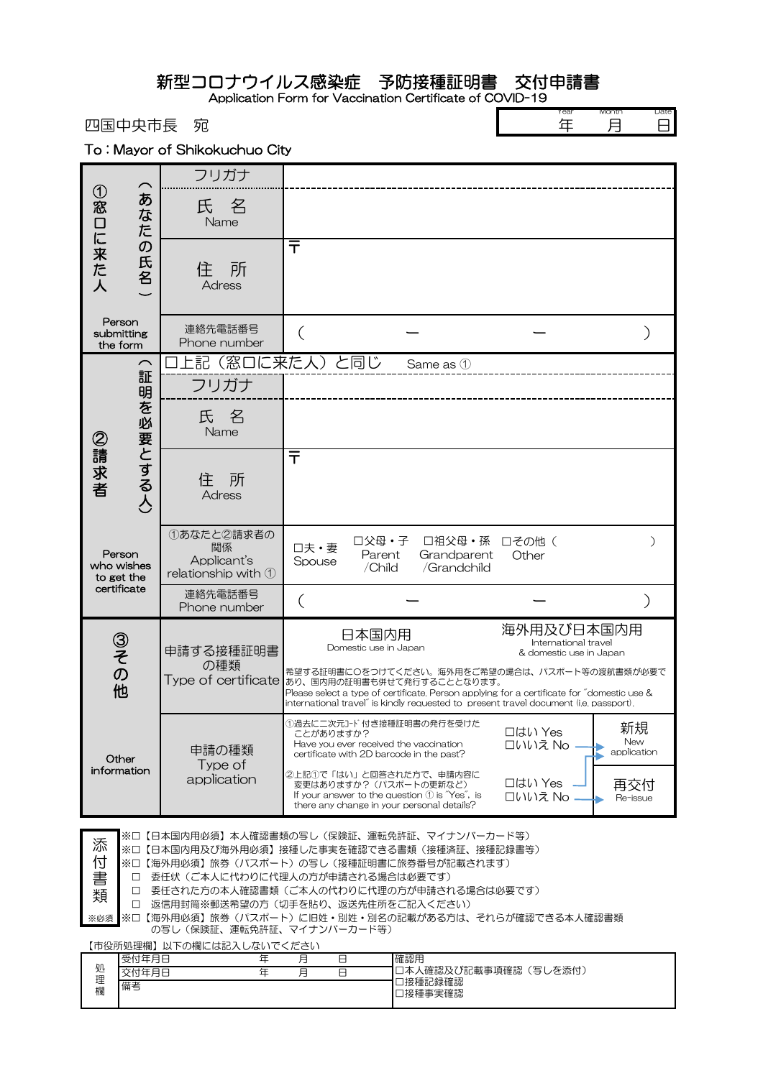新型コロナウイルス感染症 予防接種証明書 交付申請書

Application Form for Vaccination Certificate of COVID-19

四国中央市長 宛

| Year | Month | te |
|------|-------|----|
|      |       |    |

To : Mayor of Shikokuchuo City

| $\overline{\phantom{0}}$                                                                                                                                                                                                                                                                                                                                                                                         |                         | フリガナ                                                   |                                                                                                                                                                                                                                                                                                      |                                                                                         |  |
|------------------------------------------------------------------------------------------------------------------------------------------------------------------------------------------------------------------------------------------------------------------------------------------------------------------------------------------------------------------------------------------------------------------|-------------------------|--------------------------------------------------------|------------------------------------------------------------------------------------------------------------------------------------------------------------------------------------------------------------------------------------------------------------------------------------------------------|-----------------------------------------------------------------------------------------|--|
|                                                                                                                                                                                                                                                                                                                                                                                                                  | あ<br>なた                 | 氏名<br>Name                                             |                                                                                                                                                                                                                                                                                                      |                                                                                         |  |
| ①窓口に来た人                                                                                                                                                                                                                                                                                                                                                                                                          | $\sigma$<br>氏名          | 所<br>住<br><b>Adress</b>                                | 〒                                                                                                                                                                                                                                                                                                    |                                                                                         |  |
| Person<br>submitting<br>the form                                                                                                                                                                                                                                                                                                                                                                                 |                         | 連絡先電話番号<br>Phone number                                |                                                                                                                                                                                                                                                                                                      |                                                                                         |  |
|                                                                                                                                                                                                                                                                                                                                                                                                                  | $\curvearrowright$<br>証 | フリガナ                                                   | 上記(窓口に来た人)と同じ<br>Same as 1                                                                                                                                                                                                                                                                           |                                                                                         |  |
|                                                                                                                                                                                                                                                                                                                                                                                                                  |                         | 氏名<br>Name                                             |                                                                                                                                                                                                                                                                                                      |                                                                                         |  |
| ②請求者                                                                                                                                                                                                                                                                                                                                                                                                             | 明を必要とする人                | 所<br>住<br><b>Adress</b>                                | ᅮ                                                                                                                                                                                                                                                                                                    |                                                                                         |  |
| Person<br>who wishes<br>to get the<br>certificate                                                                                                                                                                                                                                                                                                                                                                |                         | ①あなたと2請求者の<br>関係<br>Applicant's<br>relationship with 1 | □父母・子<br>口祖父母・孫<br>口夫·妻<br>Parent<br>Grandparent<br>Spouse<br>/Child<br>/Grandchild                                                                                                                                                                                                                  | 口その他(<br>$\mathcal{C}^{\mathcal{C}}$<br>Other                                           |  |
|                                                                                                                                                                                                                                                                                                                                                                                                                  |                         | 連絡先電話番号<br>Phone number                                |                                                                                                                                                                                                                                                                                                      |                                                                                         |  |
| ③その他                                                                                                                                                                                                                                                                                                                                                                                                             |                         | 申請する接種証明書<br>の種類<br>Type of certificate                | 日本国内用<br>Domestic use in Japan<br>希望する証明書に〇をつけてください。海外用をご希望の場合は、パスポート等の渡航書類が必要で<br>あり、国内用の証明書も併せて発行することとなります。<br>Please select a type of certificate. Person applying for a certificate for "domestic use &<br>international travel" is kindly requested to present travel document (i.e. passport). | 海外用及び日本国内用<br>International travel<br>& domestic use in Japan                           |  |
| Other<br>information                                                                                                                                                                                                                                                                                                                                                                                             |                         | 申請の種類<br>Type of<br>application                        | ①過去に二次元コード付き接種証明書の発行を受けた<br>ことがありますか?<br>Have you ever received the vaccination<br>certificate with 2D barcode in the past?<br>②上記①で「はい」と回答された方で、申請内容に<br>変更はありますか?(パスポートの更新など)<br>If your answer to the question $\textcircled{1}$ is "Yes", is<br>there any change in your personal details?       | 新規<br>口はい Yes<br>New<br>口いいえ No<br>application<br>□はい Yes<br>再交付<br>口いいえ No<br>Re-issue |  |
| ※口【日本国内用必須】本人確認書類の写し(保険証、運転免許証、マイナンバーカード等)<br>添<br>※口【日本国内用及び海外用必須】接種した事実を確認できる書類(接種済証、接種記録書等)<br>付<br>※口【海外用必須】旅券(パスポート)の写し(接種証明書に旅券番号が記載されます)<br>委任状(ご本人に代わりに代理人の方が申請される場合は必要です)<br>□<br> 委任された方の本人確認書類 (ご本人の代わりに代理の方が申請される場合は必要です)<br>□<br>類<br>返信用封筒※郵送希望の方(切手を貼り、返送先住所をご記入ください)<br>п<br>※口【海外用必須】旅券(パスポート)に旧姓・別姓・別名の記載がある方は、それらが確認できる本人確認書類<br>※必須<br>の写し(保険証、運転免許証、マイナンバーカード等)<br>【市役所処理欄】以下の欄には記入しないでください |                         |                                                        |                                                                                                                                                                                                                                                                                                      |                                                                                         |  |

|        | 【1PIX//I 心生1刷】 以 1 > 21刷にlOUD/ \ O^o\V + \ ヽ/ \ \ U \ + |               |                              |
|--------|---------------------------------------------------------|---------------|------------------------------|
|        | 受付年月日                                                   | 目<br><b>.</b> | 確認用                          |
| 処<br>理 | 付年月日                                                    | ⊨<br><b>.</b> | (写しを添付)<br>人確認及び記載事項確認<br>口太 |
| 欄      | 備考                                                      |               | 口接種記録確認<br>口接種事実確認           |
|        |                                                         |               |                              |